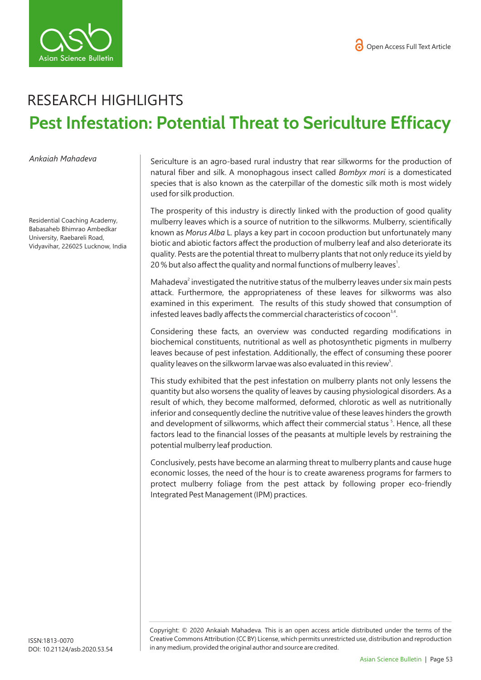

## RESEARCH HIGHLIGHTS **Pest Infestation: Potential Threat to Sericulture Efficacy**

*Ankaiah Mahadeva* 

Residential Coaching Academy, Babasaheb Bhimrao Ambedkar University, Raebareli Road, Vidyavihar, 226025 Lucknow, India Sericulture is an agro-based rural industry that rear silkworms for the production of natural fiber and silk. A monophagous insect called *Bombyx mori* is a domesticated species that is also known as the caterpillar of the domestic silk moth is most widely used for silk production.

The prosperity of this industry is directly linked with the production of good quality mulberry leaves which is a source of nutrition to the silkworms. Mulberry, scientifically known as *Morus Alba* L. plays a key part in cocoon production but unfortunately many biotic and abiotic factors affect the production of mulberry leaf and also deteriorate its quality. Pests are the potential threat to mulberry plants that not only reduce its yield by 20% but also affect the quality and normal functions of mulberry leaves $^1$ .

Mahadeva<sup>2</sup> investigated the nutritive status of the mulberry leaves under six main pests attack. Furthermore, the appropriateness of these leaves for silkworms was also examined in this experiment. The results of this study showed that consumption of infested leaves badly affects the commercial characteristics of cocoon<sup>3,4</sup>.

Considering these facts, an overview was conducted regarding modifications in biochemical constituents, nutritional as well as photosynthetic pigments in mulberry leaves because of pest infestation. Additionally, the effect of consuming these poorer quality leaves on the silkworm larvae was also evaluated in this review<sup>5</sup>.

This study exhibited that the pest infestation on mulberry plants not only lessens the quantity but also worsens the quality of leaves by causing physiological disorders. As a result of which, they become malformed, deformed, chlorotic as well as nutritionally inferior and consequently decline the nutritive value of these leaves hinders the growth and development of silkworms, which affect their commercial status<sup>5</sup>. Hence, all these factors lead to the financial losses of the peasants at multiple levels by restraining the potential mulberry leaf production.

Conclusively, pests have become an alarming threat to mulberry plants and cause huge economic losses, the need of the hour is to create awareness programs for farmers to protect mulberry foliage from the pest attack by following proper eco-friendly Integrated Pest Management (IPM) practices.